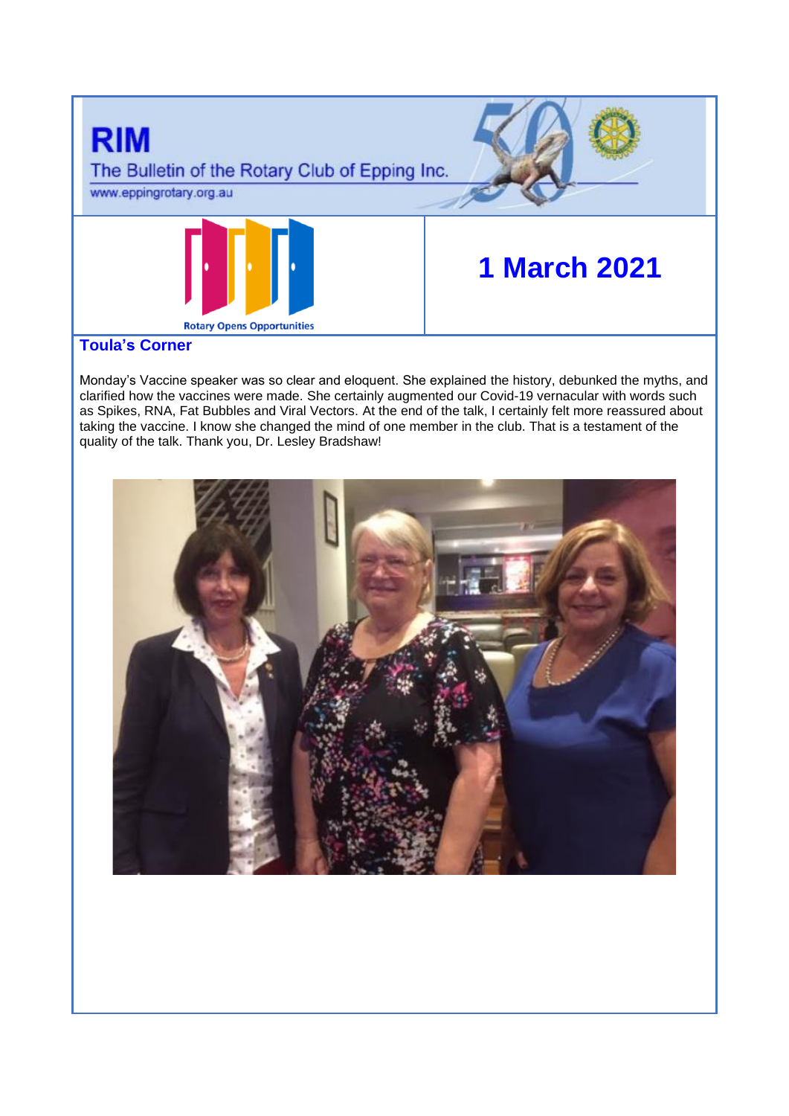

# **Toula's Corner**

Monday's Vaccine speaker was so clear and eloquent. She explained the history, debunked the myths, and clarified how the vaccines were made. She certainly augmented our Covid-19 vernacular with words such as Spikes, RNA, Fat Bubbles and Viral Vectors. At the end of the talk, I certainly felt more reassured about taking the vaccine. I know she changed the mind of one member in the club. That is a testament of the quality of the talk. Thank you, Dr. Lesley Bradshaw!

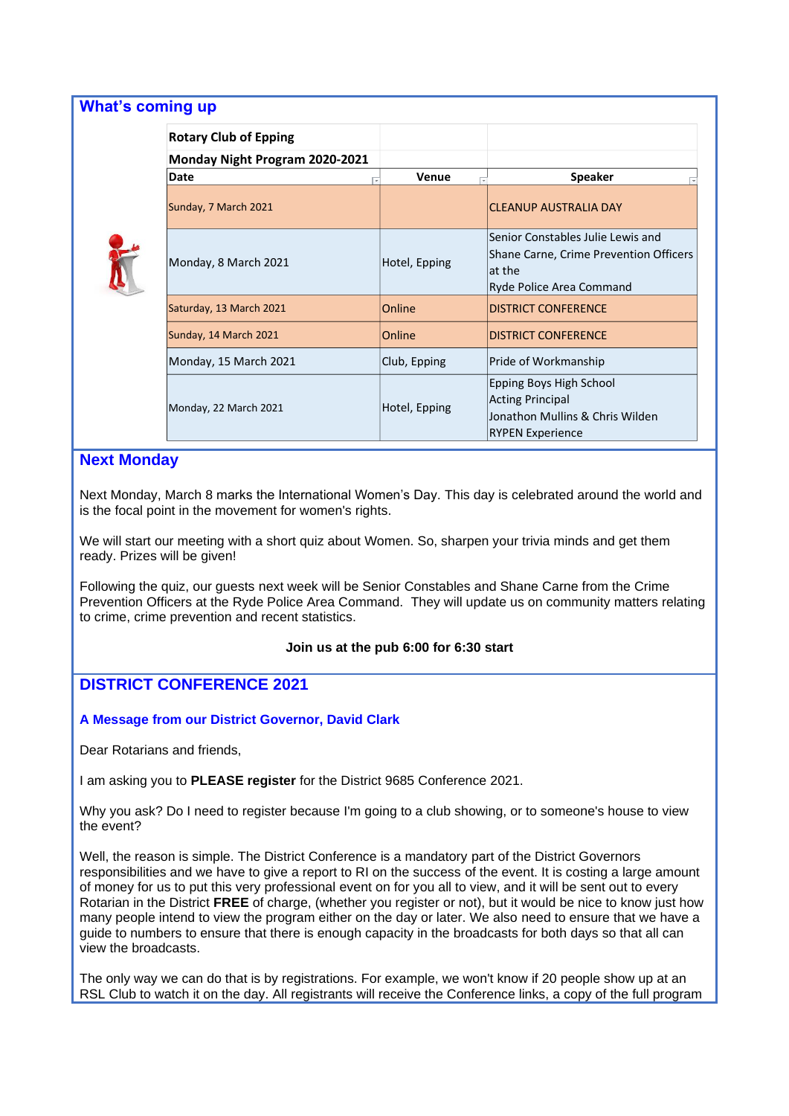| <b>What's coming up</b>        |               |                                                                                                                   |
|--------------------------------|---------------|-------------------------------------------------------------------------------------------------------------------|
| <b>Rotary Club of Epping</b>   |               |                                                                                                                   |
| Monday Night Program 2020-2021 |               |                                                                                                                   |
| Date                           | Venue         | <b>Speaker</b><br>⊺⊽                                                                                              |
| Sunday, 7 March 2021           |               | <b>CLEANUP AUSTRALIA DAY</b>                                                                                      |
| Monday, 8 March 2021           | Hotel, Epping | Senior Constables Julie Lewis and<br>Shane Carne, Crime Prevention Officers<br>at the<br>Ryde Police Area Command |
| Saturday, 13 March 2021        | Online        | <b>DISTRICT CONFERENCE</b>                                                                                        |
| Sunday, 14 March 2021          | Online        | <b>DISTRICT CONFERENCE</b>                                                                                        |
| Monday, 15 March 2021          | Club, Epping  | Pride of Workmanship                                                                                              |
| Monday, 22 March 2021          | Hotel, Epping | Epping Boys High School<br><b>Acting Principal</b><br>Jonathon Mullins & Chris Wilden<br><b>RYPEN Experience</b>  |

### **Next Monday**

Next Monday, March 8 marks the International Women's Day. This day is celebrated around the world and is the focal point in the movement for [women's rights.](https://en.wikipedia.org/wiki/Women%27s_rights)

We will start our meeting with a short quiz about Women. So, sharpen your trivia minds and get them ready. Prizes will be given!

Following the quiz, our guests next week will be Senior Constables and Shane Carne from the Crime Prevention Officers at the Ryde Police Area Command. They will update us on community matters relating to crime, crime prevention and recent statistics.

### **Join us at the pub 6:00 for 6:30 start**

### **DISTRICT CONFERENCE 2021**

### **A Message from our District Governor, David Clark**

Dear Rotarians and friends,

I am asking you to **PLEASE register** for the District 9685 Conference 2021.

Why you ask? Do I need to register because I'm going to a club showing, or to someone's house to view the event?

Well, the reason is simple. The District Conference is a mandatory part of the District Governors responsibilities and we have to give a report to RI on the success of the event. It is costing a large amount of money for us to put this very professional event on for you all to view, and it will be sent out to every Rotarian in the District **FREE** of charge, (whether you register or not), but it would be nice to know just how many people intend to view the program either on the day or later. We also need to ensure that we have a guide to numbers to ensure that there is enough capacity in the broadcasts for both days so that all can view the broadcasts.

The only way we can do that is by registrations. For example, we won't know if 20 people show up at an RSL Club to watch it on the day. All registrants will receive the Conference links, a copy of the full program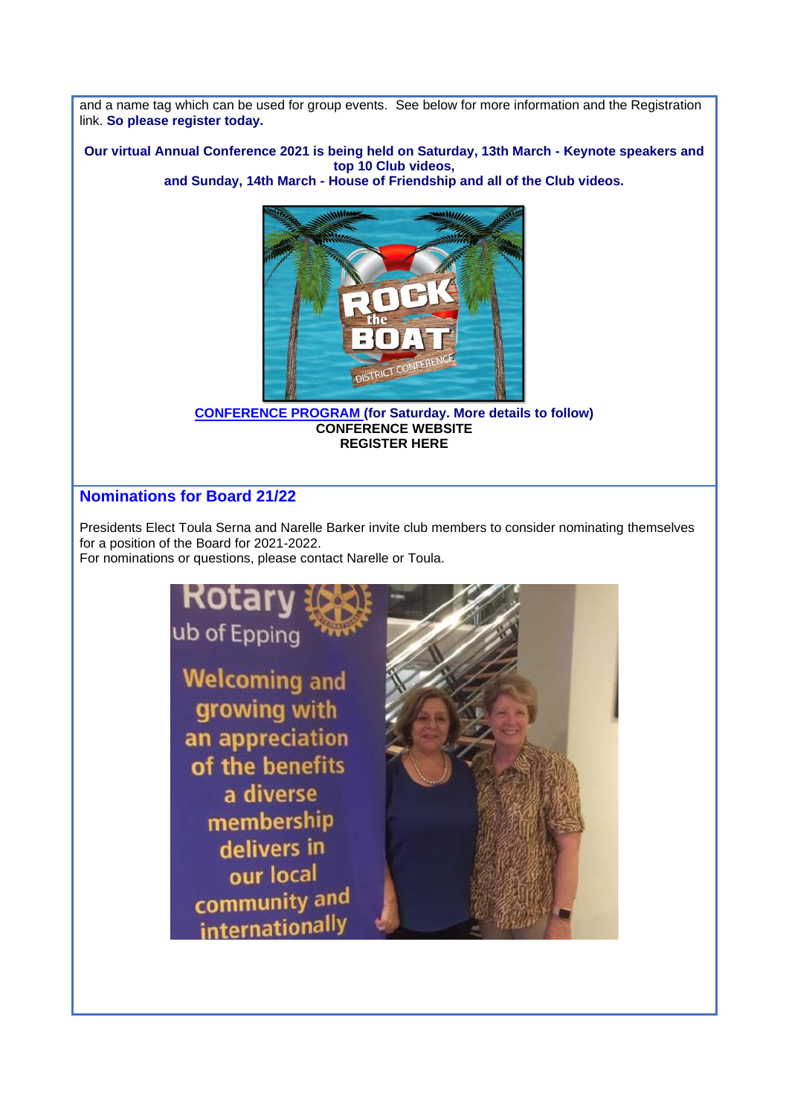and a name tag which can be used for group events. See below for more information and the Registration link. **So please register today.** 

**Our virtual Annual Conference 2021 is being held on Saturday, 13th March - Keynote speakers and top 10 Club videos,**

**and Sunday, 14th March - House of Friendship and all of the Club videos.**



**[CONFERENCE PROGRAM](https://apac01.safelinks.protection.outlook.com/?url=https%3A%2F%2Fportal.clubrunner.ca%2F50081%2FDocuments%2Fen-au%2Fa2164ca3-8621-4e1c-8565-86f79f8055f6%2F1%2F&data=04%7C01%7C%7C50fa8a830305450b089408d8d6c60708%7C84df9e7fe9f640afb435aaaaaaaaaaaa%7C1%7C0%7C637495493294566663%7CUnknown%7CTWFpbGZsb3d8eyJWIjoiMC4wLjAwMDAiLCJQIjoiV2luMzIiLCJBTiI6Ik1haWwiLCJXVCI6Mn0%3D%7C1000&sdata=rkMtx5s6fSeTlIqnho3WSCL7D3QFjnYJiYwFv0nqjVo%3D&reserved=0) (for Saturday. More details to follow) [CONFERENCE WEBSITE](https://apac01.safelinks.protection.outlook.com/?url=https%3A%2F%2Fwww.district9685conference2021.com%2F&data=04%7C01%7C%7C50fa8a830305450b089408d8d6c60708%7C84df9e7fe9f640afb435aaaaaaaaaaaa%7C1%7C0%7C637495493294576656%7CUnknown%7CTWFpbGZsb3d8eyJWIjoiMC4wLjAwMDAiLCJQIjoiV2luMzIiLCJBTiI6Ik1haWwiLCJXVCI6Mn0%3D%7C1000&sdata=mr3uEgvM80UWnp%2Bges8SJlAlzq8DH9G%2FF58XjtHWev0%3D&reserved=0) [REGISTER HERE](https://apac01.safelinks.protection.outlook.com/?url=https%3A%2F%2Fwww.crsadmin.com%2FEventPortal%2FRegistrations%2FPublicFill%2FEventPublicFill.aspx%3Fevtid%3Dd3656b40-52ee-4293-9942-b19d6df5956f&data=04%7C01%7C%7C50fa8a830305450b089408d8d6c60708%7C84df9e7fe9f640afb435aaaaaaaaaaaa%7C1%7C0%7C637495493294586651%7CUnknown%7CTWFpbGZsb3d8eyJWIjoiMC4wLjAwMDAiLCJQIjoiV2luMzIiLCJBTiI6Ik1haWwiLCJXVCI6Mn0%3D%7C1000&sdata=IXriUvHCuQSndtcVBfYVHsmnnS0TbDoudyopOmyM6TQ%3D&reserved=0)**

## **Nominations for Board 21/22**

Presidents Elect Toula Serna and Narelle Barker invite club members to consider nominating themselves for a position of the Board for 2021-2022.

For nominations or questions, please contact Narelle or Toula.

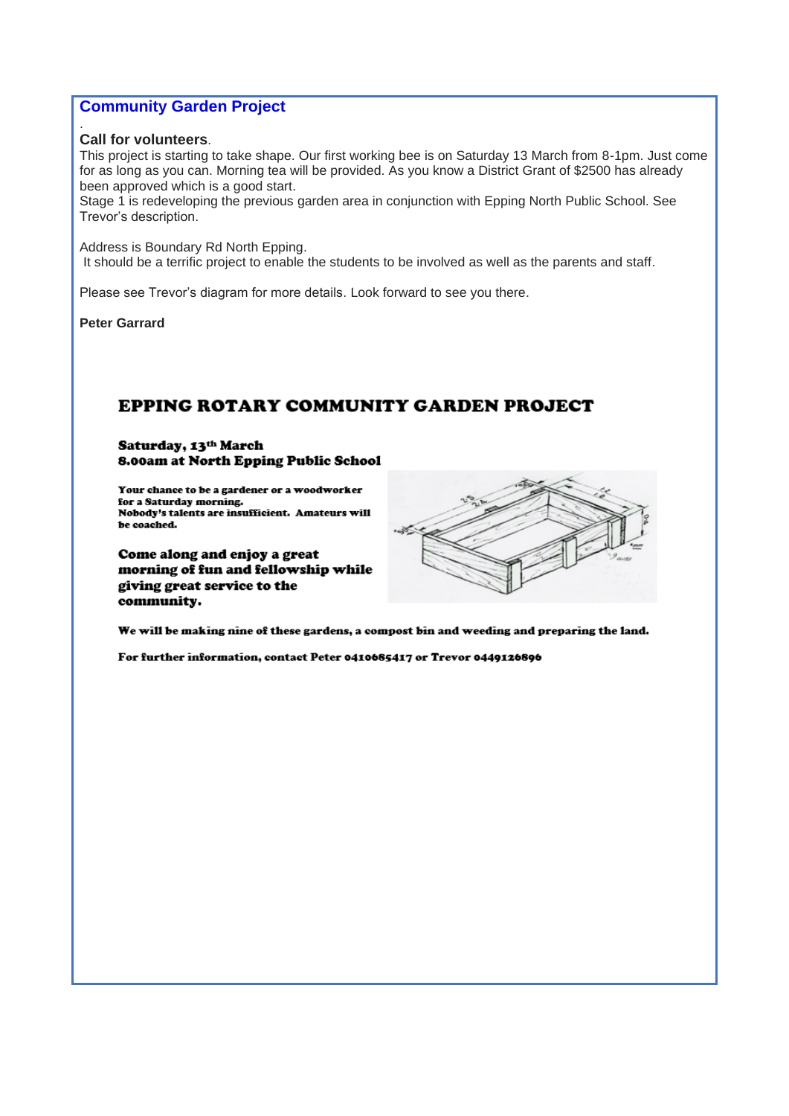### **Community Garden Project**

### **Call for volunteers**.

.

This project is starting to take shape. Our first working bee is on Saturday 13 March from 8-1pm. Just come for as long as you can. Morning tea will be provided. As you know a District Grant of \$2500 has already been approved which is a good start.

Stage 1 is redeveloping the previous garden area in conjunction with Epping North Public School. See Trevor's description.

Address is Boundary Rd North Epping. It should be a terrific project to enable the students to be involved as well as the parents and staff.

Please see Trevor's diagram for more details. Look forward to see you there.

**Peter Garrard**

# EPPING ROTARY COMMUNITY GARDEN PROJECT

#### Saturday, 13th March 8.00am at North Epping Public School

Your chance to be a gardener or a woodworker for a Saturday morning. Nobody's talents are insufficient. Amateurs will be coached.

Come along and enjoy a great morning of fun and fellowship while giving great service to the community.



We will be making nine of these gardens, a compost bin and weeding and preparing the land.

For further information, contact Peter 0410685417 or Trevor 0449126896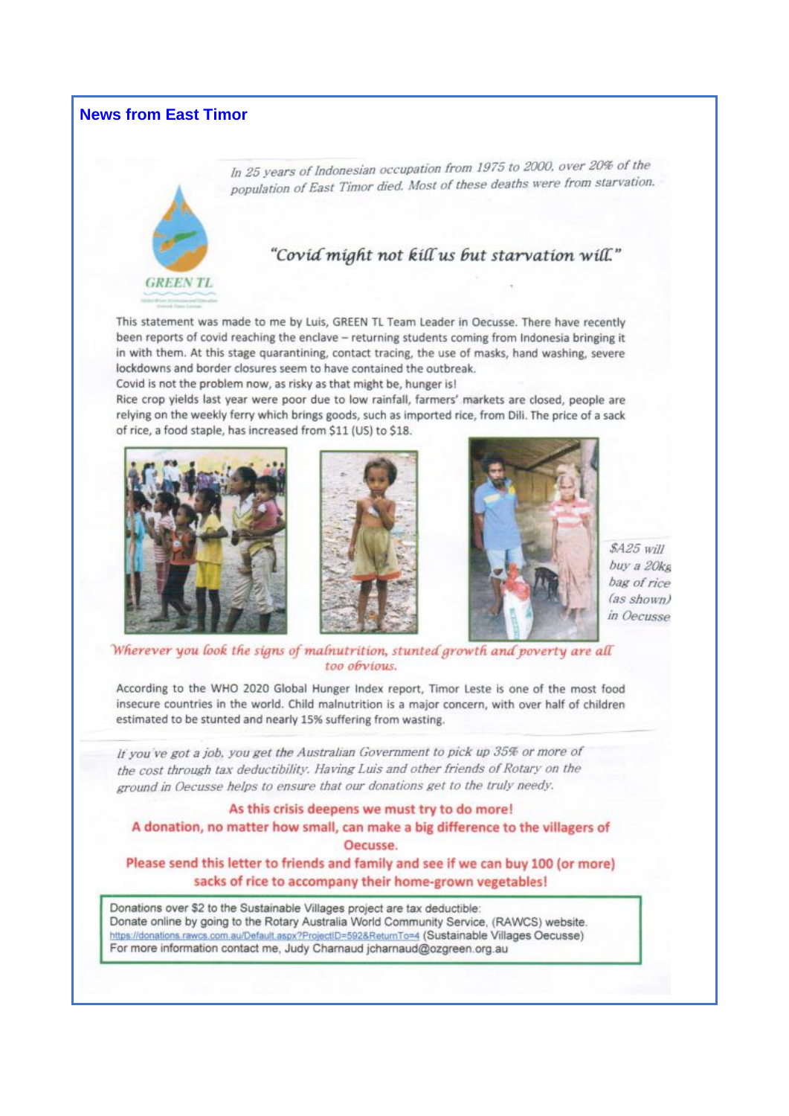# **News from East Timor**



In 25 years of Indonesian occupation from 1975 to 2000, over 20% of the population of East Timor died. Most of these deaths were from starvation.

# "Covid might not kill us but starvation will."

This statement was made to me by Luis, GREEN TL Team Leader in Oecusse. There have recently been reports of covid reaching the enclave - returning students coming from Indonesia bringing it in with them. At this stage quarantining, contact tracing, the use of masks, hand washing, severe lockdowns and border closures seem to have contained the outbreak.

Covid is not the problem now, as risky as that might be, hunger is!

Rice crop vields last year were poor due to low rainfall, farmers' markets are closed, people are relying on the weekly ferry which brings goods, such as imported rice, from Dili. The price of a sack of rice, a food staple, has increased from \$11 (US) to \$18.







 $$A25$  will buy a 20kg bag of rice  $(as shown)$ in Oecusse

Wherever you look the signs of malnutrition, stunted growth and poverty are all too obvious.

According to the WHO 2020 Global Hunger Index report, Timor Leste is one of the most food insecure countries in the world. Child malnutrition is a major concern, with over half of children estimated to be stunted and nearly 15% suffering from wasting.

If you've got a job, you get the Australian Government to pick up 35% or more of the cost through tax deductibility. Having Luis and other friends of Rotary on the ground in Oecusse helps to ensure that our donations get to the truly needy.

### As this crisis deepens we must try to do more! A donation, no matter how small, can make a big difference to the villagers of Oecusse.

### Please send this letter to friends and family and see if we can buy 100 (or more) sacks of rice to accompany their home-grown vegetables!

Donations over \$2 to the Sustainable Villages project are tax deductible: Donate online by going to the Rotary Australia World Community Service, (RAWCS) website. https://donations.rawcs.com.au/Default.aspx?ProjectID=592&ReturnTo=4 (Sustainable Villages Oecusse) For more information contact me, Judy Charnaud jcharnaud@ozgreen.org.au